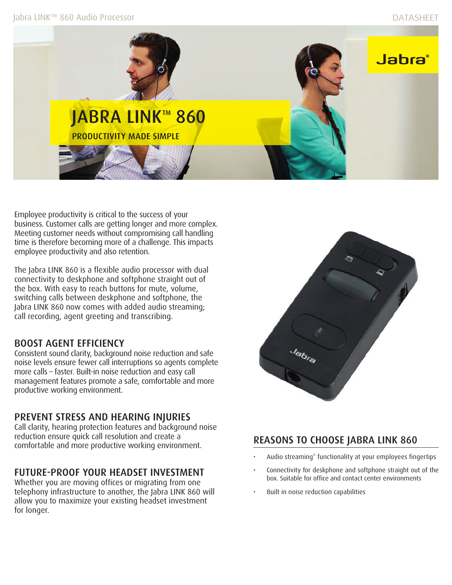

Employee productivity is critical to the success of your business. Customer calls are getting longer and more complex. Meeting customer needs without compromising call handling time is therefore becoming more of a challenge. This impacts employee productivity and also retention.

The Jabra LINK 860 is a flexible audio processor with dual connectivity to deskphone and softphone straight out of the box. With easy to reach buttons for mute, volume, switching calls between deskphone and softphone, the Jabra LINK 860 now comes with added audio streaming; call recording, agent greeting and transcribing.

# BOOST AGENT EFFICIENCY

Consistent sound clarity, background noise reduction and safe noise levels ensure fewer call interruptions so agents complete more calls – faster. Built-in noise reduction and easy call management features promote a safe, comfortable and more productive working environment.

# PREVENT STRESS AND HEARING INJURIES

Call clarity, hearing protection features and background noise reduction ensure quick call resolution and create a comfortable and more productive working environment.

# FUTURE-PROOF YOUR HEADSET INVESTMENT

Whether you are moving offices or migrating from one telephony infrastructure to another, the Jabra LINK 860 will allow you to maximize your existing headset investment for longer.



# REASONS TO CHOOSE JABRA LINK 860

- Audio streaming\* functionality at your employees fingertips
- Connectivity for deskphone and softphone straight out of the box. Suitable for office and contact center environments
- Built in noise reduction capabilities